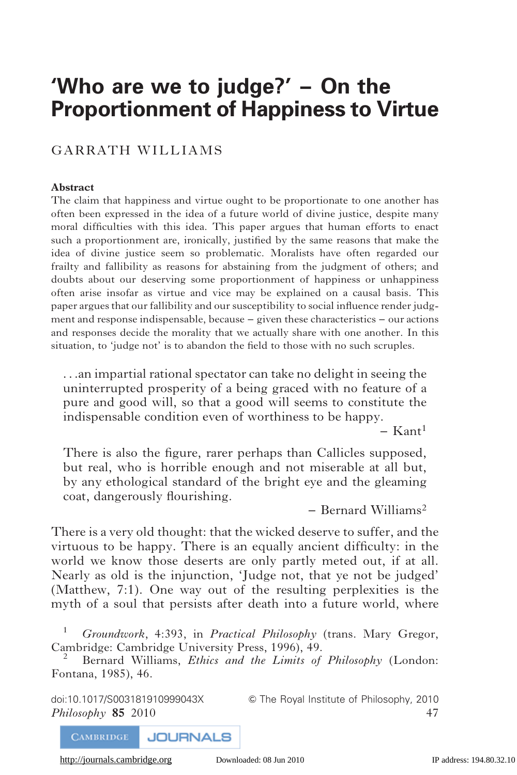# 'Who are we to judge?' – On the Proportionment of Happiness to Virtue

#### GARRATH WILLIAMS

#### Abstract

The claim that happiness and virtue ought to be proportionate to one another has often been expressed in the idea of a future world of divine justice, despite many moral difficulties with this idea. This paper argues that human efforts to enact such a proportionment are, ironically, justified by the same reasons that make the idea of divine justice seem so problematic. Moralists have often regarded our frailty and fallibility as reasons for abstaining from the judgment of others; and doubts about our deserving some proportionment of happiness or unhappiness often arise insofar as virtue and vice may be explained on a causal basis. This paper argues that our fallibility and our susceptibility to social influence render judgment and response indispensable, because – given these characteristics – our actions and responses decide the morality that we actually share with one another. In this situation, to 'judge not' is to abandon the field to those with no such scruples.

...an impartial rational spectator can take no delight in seeing the uninterrupted prosperity of a being graced with no feature of a pure and good will, so that a good will seems to constitute the indispensable condition even of worthiness to be happy.

 $-$  Kant<sup>1</sup>

There is also the figure, rarer perhaps than Callicles supposed, but real, who is horrible enough and not miserable at all but, by any ethological standard of the bright eye and the gleaming coat, dangerously flourishing.

– Bernard Williams<sup>2</sup>

There is a very old thought: that the wicked deserve to suffer, and the virtuous to be happy. There is an equally ancient difficulty: in the world we know those deserts are only partly meted out, if at all. Nearly as old is the injunction, 'Judge not, that ye not be judged' (Matthew, 7:1). One way out of the resulting perplexities is the myth of a soul that persists after death into a future world, where

Groundwork, 4:393, in Practical Philosophy (trans. Mary Gregor, Cambridge: Cambridge University Press, 1996), 49.<br><sup>2</sup> Bernard Williams, *Ethics and the Limits of Philosophy* (London:

Fontana, 1985), 46.

Philosophy 85 2010

47 doi:10.1017/S003181910999043X & The Royal Institute of Philosophy, 2010

**CAMBRIDGE JOURNALS**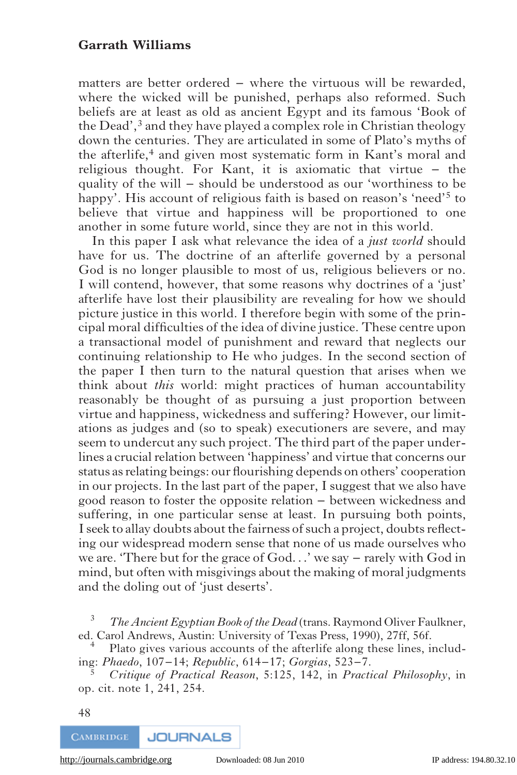matters are better ordered – where the virtuous will be rewarded, where the wicked will be punished, perhaps also reformed. Such beliefs are at least as old as ancient Egypt and its famous 'Book of the Dead',<sup>3</sup> and they have played a complex role in Christian theology down the centuries. They are articulated in some of Plato's myths of the afterlife,<sup>4</sup> and given most systematic form in Kant's moral and religious thought. For Kant, it is axiomatic that virtue – the quality of the will – should be understood as our 'worthiness to be happy'. His account of religious faith is based on reason's 'need'<sup>5</sup> to believe that virtue and happiness will be proportioned to one another in some future world, since they are not in this world.

In this paper I ask what relevance the idea of a *just world* should have for us. The doctrine of an afterlife governed by a personal God is no longer plausible to most of us, religious believers or no. I will contend, however, that some reasons why doctrines of a 'just' afterlife have lost their plausibility are revealing for how we should picture justice in this world. I therefore begin with some of the principal moral difficulties of the idea of divine justice. These centre upon a transactional model of punishment and reward that neglects our continuing relationship to He who judges. In the second section of the paper I then turn to the natural question that arises when we think about this world: might practices of human accountability reasonably be thought of as pursuing a just proportion between virtue and happiness, wickedness and suffering? However, our limitations as judges and (so to speak) executioners are severe, and may seem to undercut any such project. The third part of the paper underlines a crucial relation between 'happiness' and virtue that concerns our status as relating beings: our flourishing depends on others' cooperation in our projects. In the last part of the paper, I suggest that we also have good reason to foster the opposite relation – between wickedness and suffering, in one particular sense at least. In pursuing both points, I seek to allay doubts about the fairness of such a project, doubts reflecting our widespread modern sense that none of us made ourselves who we are. 'There but for the grace of God...' we say – rarely with God in mind, but often with misgivings about the making of moral judgments and the doling out of 'just deserts'.

The Ancient Egyptian Book of the Dead (trans. Raymond Oliver Faulkner, ed. Carol Andrews, Austin: University of Texas Press, 1990), 27ff, 56f. <sup>4</sup> Plato gives various accounts of the afterlife along these lines, includ-

ing: Phaedo, 107 –14; Republic, 614 –17; Gorgias, 523 –7.

<sup>5</sup> Critique of Practical Reason, 5:125, 142, in Practical Philosophy, in op. cit. note 1, 241, 254.

48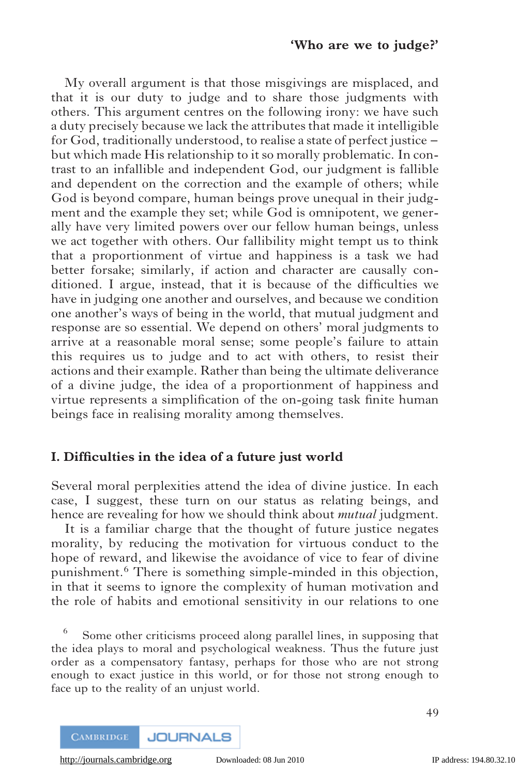My overall argument is that those misgivings are misplaced, and that it is our duty to judge and to share those judgments with others. This argument centres on the following irony: we have such a duty precisely because we lack the attributes that made it intelligible for God, traditionally understood, to realise a state of perfect justice – but which made His relationship to it so morally problematic. In contrast to an infallible and independent God, our judgment is fallible and dependent on the correction and the example of others; while God is beyond compare, human beings prove unequal in their judgment and the example they set; while God is omnipotent, we generally have very limited powers over our fellow human beings, unless we act together with others. Our fallibility might tempt us to think that a proportionment of virtue and happiness is a task we had better forsake; similarly, if action and character are causally conditioned. I argue, instead, that it is because of the difficulties we have in judging one another and ourselves, and because we condition one another's ways of being in the world, that mutual judgment and response are so essential. We depend on others' moral judgments to arrive at a reasonable moral sense; some people's failure to attain this requires us to judge and to act with others, to resist their actions and their example. Rather than being the ultimate deliverance of a divine judge, the idea of a proportionment of happiness and virtue represents a simplification of the on-going task finite human beings face in realising morality among themselves.

# I. Difficulties in the idea of a future just world

Several moral perplexities attend the idea of divine justice. In each case, I suggest, these turn on our status as relating beings, and hence are revealing for how we should think about *mutual* judgment.

It is a familiar charge that the thought of future justice negates morality, by reducing the motivation for virtuous conduct to the hope of reward, and likewise the avoidance of vice to fear of divine punishment.<sup>6</sup> There is something simple-minded in this objection, in that it seems to ignore the complexity of human motivation and the role of habits and emotional sensitivity in our relations to one

Some other criticisms proceed along parallel lines, in supposing that the idea plays to moral and psychological weakness. Thus the future just order as a compensatory fantasy, perhaps for those who are not strong enough to exact justice in this world, or for those not strong enough to face up to the reality of an unjust world.

49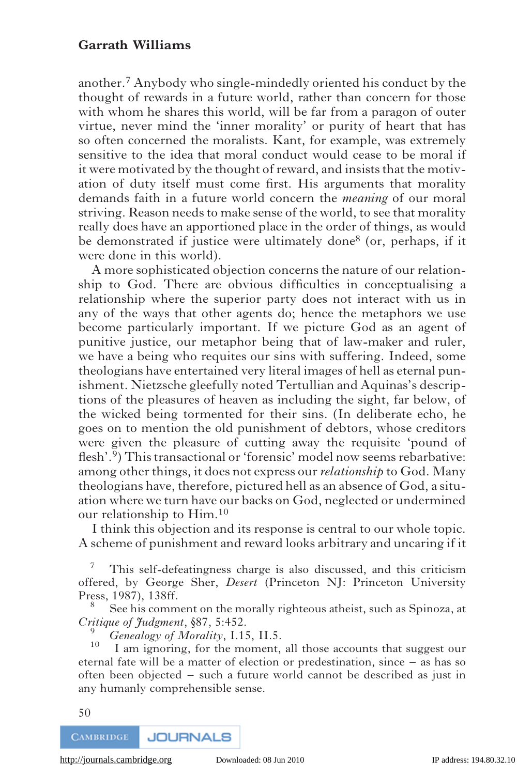another.<sup>7</sup> Anybody who single-mindedly oriented his conduct by the thought of rewards in a future world, rather than concern for those with whom he shares this world, will be far from a paragon of outer virtue, never mind the 'inner morality' or purity of heart that has so often concerned the moralists. Kant, for example, was extremely sensitive to the idea that moral conduct would cease to be moral if it were motivated by the thought of reward, and insists that the motivation of duty itself must come first. His arguments that morality demands faith in a future world concern the meaning of our moral striving. Reason needs to make sense of the world, to see that morality really does have an apportioned place in the order of things, as would be demonstrated if justice were ultimately done<sup>8</sup> (or, perhaps, if it were done in this world).

A more sophisticated objection concerns the nature of our relationship to God. There are obvious difficulties in conceptualising a relationship where the superior party does not interact with us in any of the ways that other agents do; hence the metaphors we use become particularly important. If we picture God as an agent of punitive justice, our metaphor being that of law-maker and ruler, we have a being who requites our sins with suffering. Indeed, some theologians have entertained very literal images of hell as eternal punishment. Nietzsche gleefully noted Tertullian and Aquinas's descriptions of the pleasures of heaven as including the sight, far below, of the wicked being tormented for their sins. (In deliberate echo, he goes on to mention the old punishment of debtors, whose creditors were given the pleasure of cutting away the requisite 'pound of flesh'.<sup>9</sup>) This transactional or 'forensic' model now seems rebarbative: among other things, it does not express our *relationship* to God. Many theologians have, therefore, pictured hell as an absence of God, a situation where we turn have our backs on God, neglected or undermined our relationship to Him.<sup>10</sup>

I think this objection and its response is central to our whole topic. A scheme of punishment and reward looks arbitrary and uncaring if it

<sup>7</sup> This self-defeatingness charge is also discussed, and this criticism offered, by George Sher, Desert (Princeton NJ: Princeton University Press, 1987), 138ff.

See his comment on the morally righteous atheist, such as Spinoza, at Critique of Judgment, §87, 5:452.

 $\frac{9}{10}$  Genealogy of Morality, I.15, II.5.

I am ignoring, for the moment, all those accounts that suggest our eternal fate will be a matter of election or predestination, since – as has so often been objected – such a future world cannot be described as just in any humanly comprehensible sense.

50

**JOURNALS CAMBRIDGE**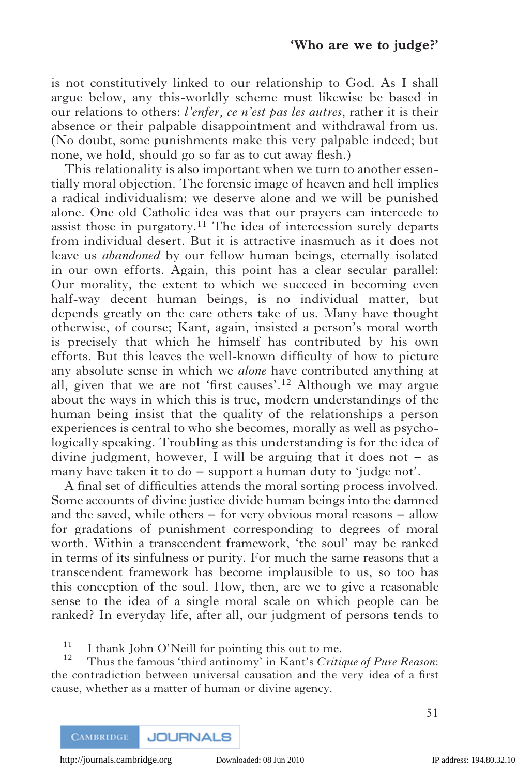is not constitutively linked to our relationship to God. As I shall argue below, any this-worldly scheme must likewise be based in our relations to others: l'enfer, ce n'est pas les autres, rather it is their absence or their palpable disappointment and withdrawal from us. (No doubt, some punishments make this very palpable indeed; but none, we hold, should go so far as to cut away flesh.)

This relationality is also important when we turn to another essentially moral objection. The forensic image of heaven and hell implies a radical individualism: we deserve alone and we will be punished alone. One old Catholic idea was that our prayers can intercede to assist those in purgatory.<sup>11</sup> The idea of intercession surely departs from individual desert. But it is attractive inasmuch as it does not leave us abandoned by our fellow human beings, eternally isolated in our own efforts. Again, this point has a clear secular parallel: Our morality, the extent to which we succeed in becoming even half-way decent human beings, is no individual matter, but depends greatly on the care others take of us. Many have thought otherwise, of course; Kant, again, insisted a person's moral worth is precisely that which he himself has contributed by his own efforts. But this leaves the well-known difficulty of how to picture any absolute sense in which we alone have contributed anything at all, given that we are not 'first causes'.<sup>12</sup> Although we may argue about the ways in which this is true, modern understandings of the human being insist that the quality of the relationships a person experiences is central to who she becomes, morally as well as psychologically speaking. Troubling as this understanding is for the idea of divine judgment, however, I will be arguing that it does not – as many have taken it to do – support a human duty to 'judge not'.

A final set of difficulties attends the moral sorting process involved. Some accounts of divine justice divide human beings into the damned and the saved, while others – for very obvious moral reasons – allow for gradations of punishment corresponding to degrees of moral worth. Within a transcendent framework, 'the soul' may be ranked in terms of its sinfulness or purity. For much the same reasons that a transcendent framework has become implausible to us, so too has this conception of the soul. How, then, are we to give a reasonable sense to the idea of a single moral scale on which people can be ranked? In everyday life, after all, our judgment of persons tends to

<sup>11</sup> I thank John O'Neill for pointing this out to me.<br><sup>12</sup> Thus the famous 'third antinomy' in Kant's Critique of Pure Reason: the contradiction between universal causation and the very idea of a first cause, whether as a matter of human or divine agency.

51

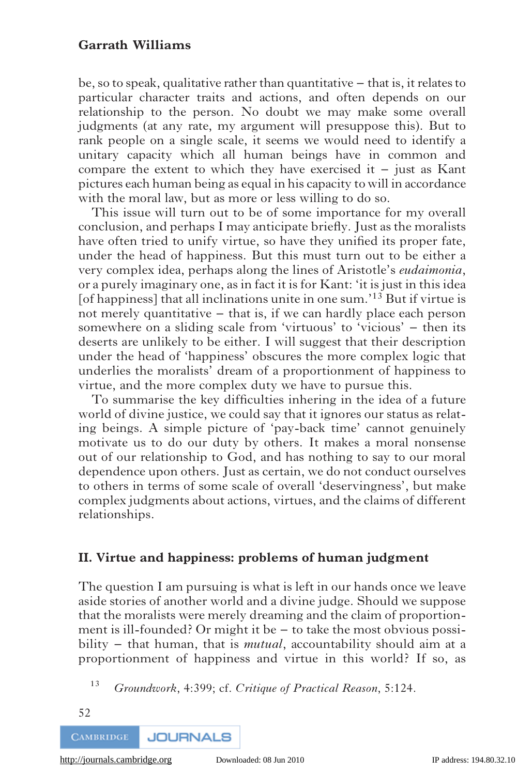be, so to speak, qualitative rather than quantitative – that is, it relates to particular character traits and actions, and often depends on our relationship to the person. No doubt we may make some overall judgments (at any rate, my argument will presuppose this). But to rank people on a single scale, it seems we would need to identify a unitary capacity which all human beings have in common and compare the extent to which they have exercised it  $-$  just as Kant pictures each human being as equal in his capacity to will in accordance with the moral law, but as more or less willing to do so.

This issue will turn out to be of some importance for my overall conclusion, and perhaps I may anticipate briefly. Just as the moralists have often tried to unify virtue, so have they unified its proper fate, under the head of happiness. But this must turn out to be either a very complex idea, perhaps along the lines of Aristotle's eudaimonia, or a purely imaginary one, as in fact it is for Kant: 'it is just in this idea [of happiness] that all inclinations unite in one sum.'<sup>13</sup> But if virtue is not merely quantitative – that is, if we can hardly place each person somewhere on a sliding scale from 'virtuous' to 'vicious' – then its deserts are unlikely to be either. I will suggest that their description under the head of 'happiness' obscures the more complex logic that underlies the moralists' dream of a proportionment of happiness to virtue, and the more complex duty we have to pursue this.

To summarise the key difficulties inhering in the idea of a future world of divine justice, we could say that it ignores our status as relating beings. A simple picture of 'pay-back time' cannot genuinely motivate us to do our duty by others. It makes a moral nonsense out of our relationship to God, and has nothing to say to our moral dependence upon others. Just as certain, we do not conduct ourselves to others in terms of some scale of overall 'deservingness', but make complex judgments about actions, virtues, and the claims of different relationships.

#### II. Virtue and happiness: problems of human judgment

The question I am pursuing is what is left in our hands once we leave aside stories of another world and a divine judge. Should we suppose that the moralists were merely dreaming and the claim of proportionment is ill-founded? Or might it be – to take the most obvious possibility – that human, that is *mutual*, accountability should aim at a proportionment of happiness and virtue in this world? If so, as

<sup>13</sup> Groundwork, 4:399; cf. Critique of Practical Reason, 5:124.



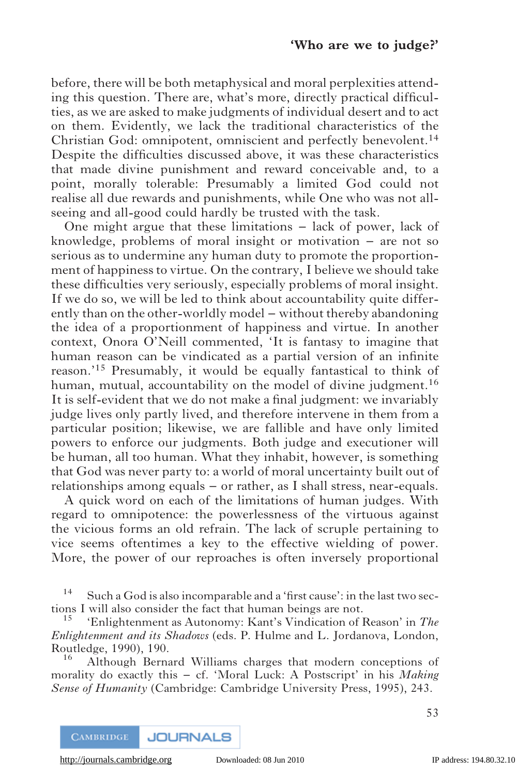before, there will be both metaphysical and moral perplexities attending this question. There are, what's more, directly practical difficulties, as we are asked to make judgments of individual desert and to act on them. Evidently, we lack the traditional characteristics of the Christian God: omnipotent, omniscient and perfectly benevolent.<sup>14</sup> Despite the difficulties discussed above, it was these characteristics that made divine punishment and reward conceivable and, to a point, morally tolerable: Presumably a limited God could not realise all due rewards and punishments, while One who was not allseeing and all-good could hardly be trusted with the task.

One might argue that these limitations – lack of power, lack of knowledge, problems of moral insight or motivation – are not so serious as to undermine any human duty to promote the proportionment of happiness to virtue. On the contrary, I believe we should take these difficulties very seriously, especially problems of moral insight. If we do so, we will be led to think about accountability quite differently than on the other-worldly model – without thereby abandoning the idea of a proportionment of happiness and virtue. In another context, Onora O'Neill commented, 'It is fantasy to imagine that human reason can be vindicated as a partial version of an infinite reason.'<sup>15</sup> Presumably, it would be equally fantastical to think of human, mutual, accountability on the model of divine judgment.<sup>16</sup> It is self-evident that we do not make a final judgment: we invariably judge lives only partly lived, and therefore intervene in them from a particular position; likewise, we are fallible and have only limited powers to enforce our judgments. Both judge and executioner will be human, all too human. What they inhabit, however, is something that God was never party to: a world of moral uncertainty built out of relationships among equals – or rather, as I shall stress, near-equals.

A quick word on each of the limitations of human judges. With regard to omnipotence: the powerlessness of the virtuous against the vicious forms an old refrain. The lack of scruple pertaining to vice seems oftentimes a key to the effective wielding of power. More, the power of our reproaches is often inversely proportional

<sup>14</sup> Such a God is also incomparable and a 'first cause': in the last two sections I will also consider the fact that human beings are not.

'Enlightenment as Autonomy: Kant's Vindication of Reason' in The Enlightenment and its Shadows (eds. P. Hulme and L. Jordanova, London, Routledge, 1990), 190.

Although Bernard Williams charges that modern conceptions of morality do exactly this  $-$  cf. 'Moral Luck: A Postscript' in his *Making* Sense of Humanity (Cambridge: Cambridge University Press, 1995), 243.

53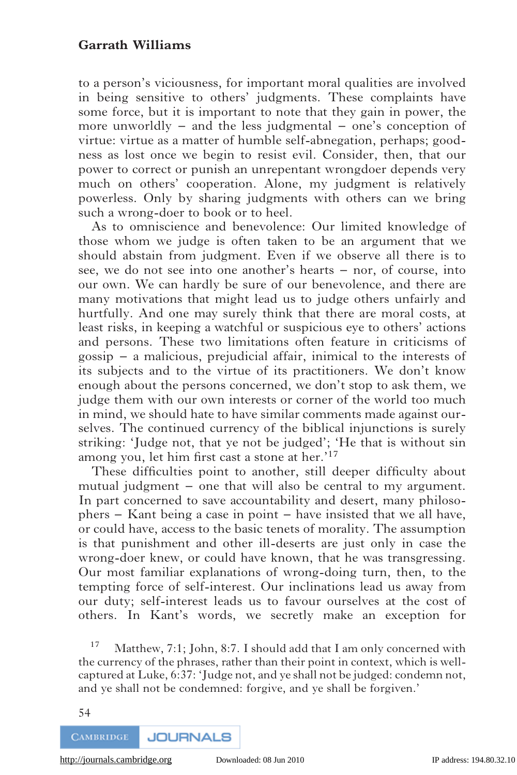to a person's viciousness, for important moral qualities are involved in being sensitive to others' judgments. These complaints have some force, but it is important to note that they gain in power, the more unworldly – and the less judgmental – one's conception of virtue: virtue as a matter of humble self-abnegation, perhaps; goodness as lost once we begin to resist evil. Consider, then, that our power to correct or punish an unrepentant wrongdoer depends very much on others' cooperation. Alone, my judgment is relatively powerless. Only by sharing judgments with others can we bring such a wrong-doer to book or to heel.

As to omniscience and benevolence: Our limited knowledge of those whom we judge is often taken to be an argument that we should abstain from judgment. Even if we observe all there is to see, we do not see into one another's hearts – nor, of course, into our own. We can hardly be sure of our benevolence, and there are many motivations that might lead us to judge others unfairly and hurtfully. And one may surely think that there are moral costs, at least risks, in keeping a watchful or suspicious eye to others' actions and persons. These two limitations often feature in criticisms of gossip – a malicious, prejudicial affair, inimical to the interests of its subjects and to the virtue of its practitioners. We don't know enough about the persons concerned, we don't stop to ask them, we judge them with our own interests or corner of the world too much in mind, we should hate to have similar comments made against ourselves. The continued currency of the biblical injunctions is surely striking: 'Judge not, that ye not be judged'; 'He that is without sin among you, let him first cast a stone at her.'<sup>17</sup>

These difficulties point to another, still deeper difficulty about mutual judgment – one that will also be central to my argument. In part concerned to save accountability and desert, many philosophers – Kant being a case in point – have insisted that we all have, or could have, access to the basic tenets of morality. The assumption is that punishment and other ill-deserts are just only in case the wrong-doer knew, or could have known, that he was transgressing. Our most familiar explanations of wrong-doing turn, then, to the tempting force of self-interest. Our inclinations lead us away from our duty; self-interest leads us to favour ourselves at the cost of others. In Kant's words, we secretly make an exception for

<sup>17</sup> Matthew, 7:1; John, 8:7. I should add that I am only concerned with the currency of the phrases, rather than their point in context, which is wellcaptured at Luke, 6:37: 'Judge not, and ye shall not be judged: condemn not, and ye shall not be condemned: forgive, and ye shall be forgiven.'

54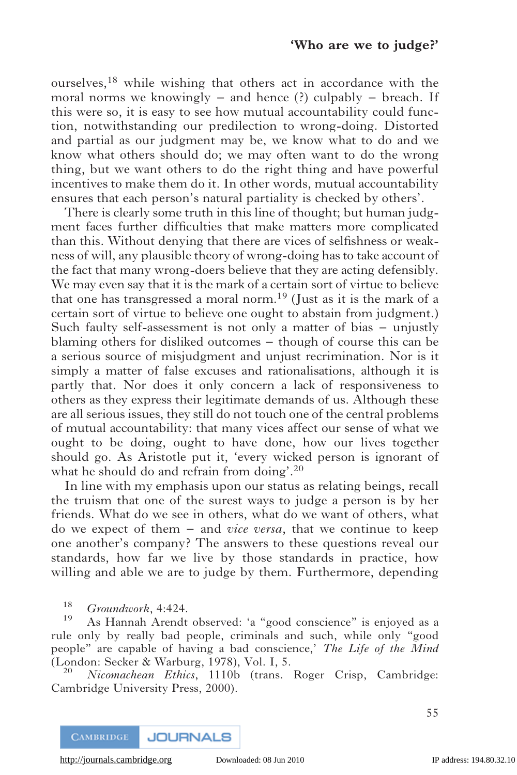ourselves,<sup>18</sup> while wishing that others act in accordance with the moral norms we knowingly – and hence  $(?)$  culpably – breach. If this were so, it is easy to see how mutual accountability could function, notwithstanding our predilection to wrong-doing. Distorted and partial as our judgment may be, we know what to do and we know what others should do; we may often want to do the wrong thing, but we want others to do the right thing and have powerful incentives to make them do it. In other words, mutual accountability ensures that each person's natural partiality is checked by others'.

There is clearly some truth in this line of thought; but human judgment faces further difficulties that make matters more complicated than this. Without denying that there are vices of selfishness or weakness of will, any plausible theory of wrong-doing has to take account of the fact that many wrong-doers believe that they are acting defensibly. We may even say that it is the mark of a certain sort of virtue to believe that one has transgressed a moral norm.<sup>19</sup> (Just as it is the mark of a certain sort of virtue to believe one ought to abstain from judgment.) Such faulty self-assessment is not only a matter of bias – unjustly blaming others for disliked outcomes – though of course this can be a serious source of misjudgment and unjust recrimination. Nor is it simply a matter of false excuses and rationalisations, although it is partly that. Nor does it only concern a lack of responsiveness to others as they express their legitimate demands of us. Although these are all serious issues, they still do not touch one of the central problems of mutual accountability: that many vices affect our sense of what we ought to be doing, ought to have done, how our lives together should go. As Aristotle put it, 'every wicked person is ignorant of what he should do and refrain from doing'.<sup>20</sup>

In line with my emphasis upon our status as relating beings, recall the truism that one of the surest ways to judge a person is by her friends. What do we see in others, what do we want of others, what do we expect of them – and vice versa, that we continue to keep one another's company? The answers to these questions reveal our standards, how far we live by those standards in practice, how willing and able we are to judge by them. Furthermore, depending

<sup>18</sup> Groundwork, 4:424.

As Hannah Arendt observed: 'a "good conscience" is enjoyed as a rule only by really bad people, criminals and such, while only "good people" are capable of having a bad conscience,' The Life of the Mind (London: Secker & Warburg, 1978), Vol. I, 5.

Nicomachean Ethics, 1110b (trans. Roger Crisp, Cambridge: Cambridge University Press, 2000).

55

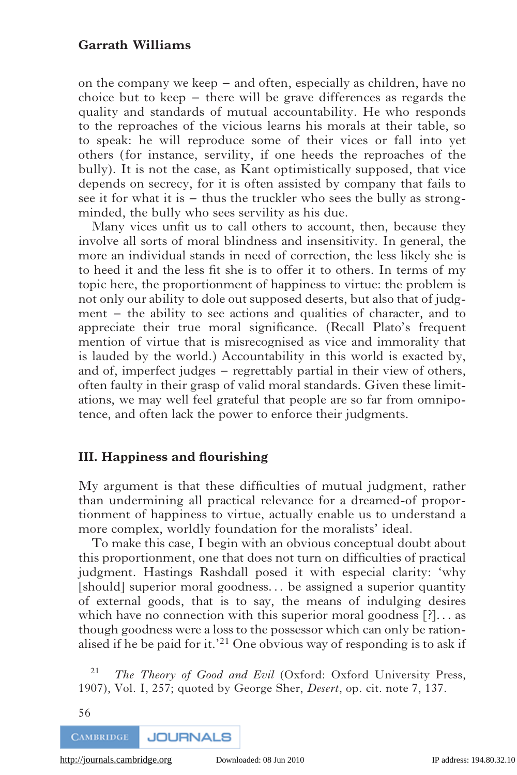on the company we keep – and often, especially as children, have no choice but to keep – there will be grave differences as regards the quality and standards of mutual accountability. He who responds to the reproaches of the vicious learns his morals at their table, so to speak: he will reproduce some of their vices or fall into yet others (for instance, servility, if one heeds the reproaches of the bully). It is not the case, as Kant optimistically supposed, that vice depends on secrecy, for it is often assisted by company that fails to see it for what it is – thus the truckler who sees the bully as strongminded, the bully who sees servility as his due.

Many vices unfit us to call others to account, then, because they involve all sorts of moral blindness and insensitivity. In general, the more an individual stands in need of correction, the less likely she is to heed it and the less fit she is to offer it to others. In terms of my topic here, the proportionment of happiness to virtue: the problem is not only our ability to dole out supposed deserts, but also that of judgment – the ability to see actions and qualities of character, and to appreciate their true moral significance. (Recall Plato's frequent mention of virtue that is misrecognised as vice and immorality that is lauded by the world.) Accountability in this world is exacted by, and of, imperfect judges – regrettably partial in their view of others, often faulty in their grasp of valid moral standards. Given these limitations, we may well feel grateful that people are so far from omnipotence, and often lack the power to enforce their judgments.

#### III. Happiness and flourishing

My argument is that these difficulties of mutual judgment, rather than undermining all practical relevance for a dreamed-of proportionment of happiness to virtue, actually enable us to understand a more complex, worldly foundation for the moralists' ideal.

To make this case, I begin with an obvious conceptual doubt about this proportionment, one that does not turn on difficulties of practical judgment. Hastings Rashdall posed it with especial clarity: 'why [should] superior moral goodness... be assigned a superior quantity of external goods, that is to say, the means of indulging desires which have no connection with this superior moral goodness [?]... as though goodness were a loss to the possessor which can only be rationalised if he be paid for it.<sup>'21</sup> One obvious way of responding is to ask if

<sup>21</sup> The Theory of Good and Evil (Oxford: Oxford University Press, 1907), Vol. I, 257; quoted by George Sher, Desert, op. cit. note 7, 137.

56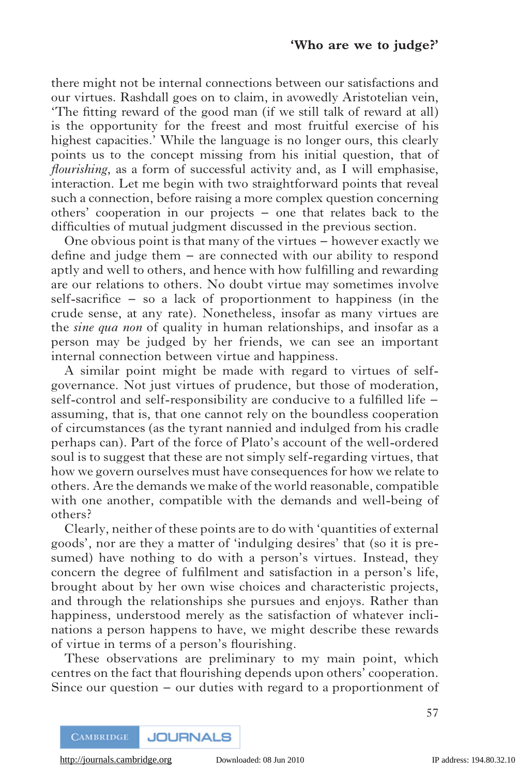there might not be internal connections between our satisfactions and our virtues. Rashdall goes on to claim, in avowedly Aristotelian vein, 'The fitting reward of the good man (if we still talk of reward at all) is the opportunity for the freest and most fruitful exercise of his highest capacities.' While the language is no longer ours, this clearly points us to the concept missing from his initial question, that of flourishing, as a form of successful activity and, as I will emphasise, interaction. Let me begin with two straightforward points that reveal such a connection, before raising a more complex question concerning others' cooperation in our projects – one that relates back to the difficulties of mutual judgment discussed in the previous section.

One obvious point is that many of the virtues – however exactly we define and judge them – are connected with our ability to respond aptly and well to others, and hence with how fulfilling and rewarding are our relations to others. No doubt virtue may sometimes involve self-sacrifice – so a lack of proportionment to happiness (in the crude sense, at any rate). Nonetheless, insofar as many virtues are the sine qua non of quality in human relationships, and insofar as a person may be judged by her friends, we can see an important internal connection between virtue and happiness.

A similar point might be made with regard to virtues of selfgovernance. Not just virtues of prudence, but those of moderation, self-control and self-responsibility are conducive to a fulfilled life – assuming, that is, that one cannot rely on the boundless cooperation of circumstances (as the tyrant nannied and indulged from his cradle perhaps can). Part of the force of Plato's account of the well-ordered soul is to suggest that these are not simply self-regarding virtues, that how we govern ourselves must have consequences for how we relate to others. Are the demands we make of the world reasonable, compatible with one another, compatible with the demands and well-being of others?

Clearly, neither of these points are to do with 'quantities of external goods', nor are they a matter of 'indulging desires' that (so it is presumed) have nothing to do with a person's virtues. Instead, they concern the degree of fulfilment and satisfaction in a person's life, brought about by her own wise choices and characteristic projects, and through the relationships she pursues and enjoys. Rather than happiness, understood merely as the satisfaction of whatever inclinations a person happens to have, we might describe these rewards of virtue in terms of a person's flourishing.

These observations are preliminary to my main point, which centres on the fact that flourishing depends upon others' cooperation. Since our question – our duties with regard to a proportionment of

57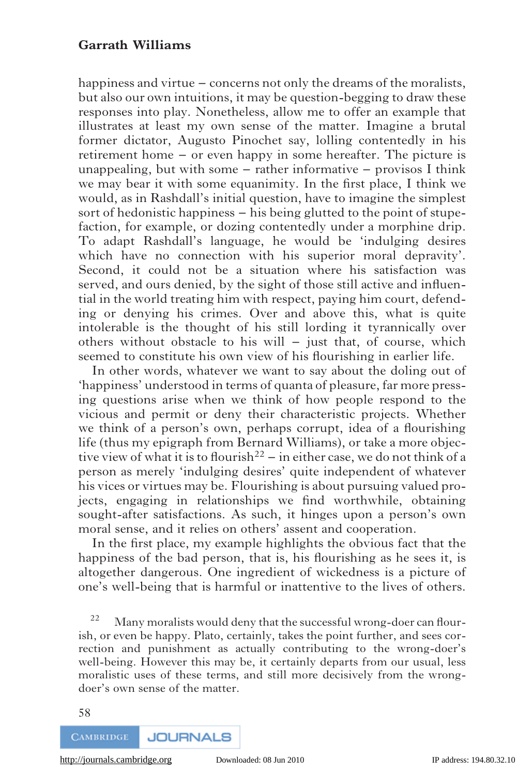happiness and virtue – concerns not only the dreams of the moralists, but also our own intuitions, it may be question-begging to draw these responses into play. Nonetheless, allow me to offer an example that illustrates at least my own sense of the matter. Imagine a brutal former dictator, Augusto Pinochet say, lolling contentedly in his retirement home – or even happy in some hereafter. The picture is unappealing, but with some – rather informative – provisos I think we may bear it with some equanimity. In the first place, I think we would, as in Rashdall's initial question, have to imagine the simplest sort of hedonistic happiness – his being glutted to the point of stupefaction, for example, or dozing contentedly under a morphine drip. To adapt Rashdall's language, he would be 'indulging desires which have no connection with his superior moral depravity'. Second, it could not be a situation where his satisfaction was served, and ours denied, by the sight of those still active and influential in the world treating him with respect, paying him court, defending or denying his crimes. Over and above this, what is quite intolerable is the thought of his still lording it tyrannically over others without obstacle to his will – just that, of course, which seemed to constitute his own view of his flourishing in earlier life.

In other words, whatever we want to say about the doling out of 'happiness' understood in terms of quanta of pleasure, far more pressing questions arise when we think of how people respond to the vicious and permit or deny their characteristic projects. Whether we think of a person's own, perhaps corrupt, idea of a flourishing life (thus my epigraph from Bernard Williams), or take a more objective view of what it is to flourish<sup>22</sup> – in either case, we do not think of a person as merely 'indulging desires' quite independent of whatever his vices or virtues may be. Flourishing is about pursuing valued projects, engaging in relationships we find worthwhile, obtaining sought-after satisfactions. As such, it hinges upon a person's own moral sense, and it relies on others' assent and cooperation.

In the first place, my example highlights the obvious fact that the happiness of the bad person, that is, his flourishing as he sees it, is altogether dangerous. One ingredient of wickedness is a picture of one's well-being that is harmful or inattentive to the lives of others.

<sup>22</sup> Many moralists would deny that the successful wrong-doer can flourish, or even be happy. Plato, certainly, takes the point further, and sees correction and punishment as actually contributing to the wrong-doer's well-being. However this may be, it certainly departs from our usual, less moralistic uses of these terms, and still more decisively from the wrongdoer's own sense of the matter.

58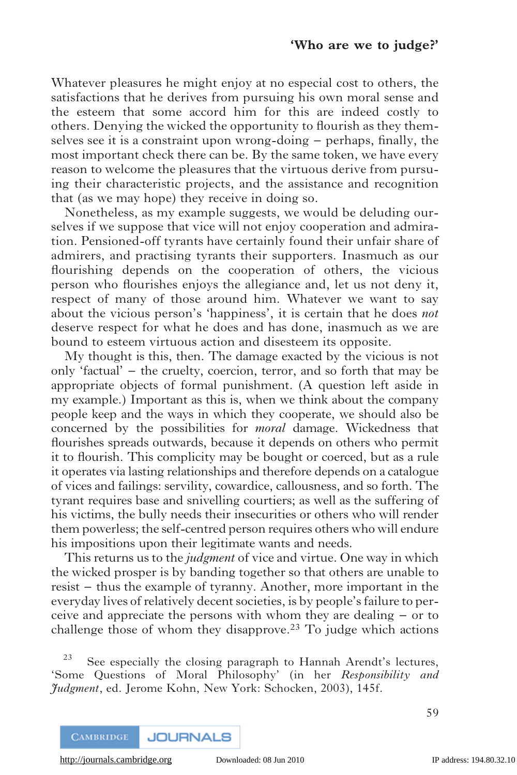Whatever pleasures he might enjoy at no especial cost to others, the satisfactions that he derives from pursuing his own moral sense and the esteem that some accord him for this are indeed costly to others. Denying the wicked the opportunity to flourish as they themselves see it is a constraint upon wrong-doing – perhaps, finally, the most important check there can be. By the same token, we have every reason to welcome the pleasures that the virtuous derive from pursuing their characteristic projects, and the assistance and recognition that (as we may hope) they receive in doing so.

Nonetheless, as my example suggests, we would be deluding ourselves if we suppose that vice will not enjoy cooperation and admiration. Pensioned-off tyrants have certainly found their unfair share of admirers, and practising tyrants their supporters. Inasmuch as our flourishing depends on the cooperation of others, the vicious person who flourishes enjoys the allegiance and, let us not deny it, respect of many of those around him. Whatever we want to say about the vicious person's 'happiness', it is certain that he does not deserve respect for what he does and has done, inasmuch as we are bound to esteem virtuous action and disesteem its opposite.

My thought is this, then. The damage exacted by the vicious is not only 'factual' – the cruelty, coercion, terror, and so forth that may be appropriate objects of formal punishment. (A question left aside in my example.) Important as this is, when we think about the company people keep and the ways in which they cooperate, we should also be concerned by the possibilities for moral damage. Wickedness that flourishes spreads outwards, because it depends on others who permit it to flourish. This complicity may be bought or coerced, but as a rule it operates via lasting relationships and therefore depends on a catalogue of vices and failings: servility, cowardice, callousness, and so forth. The tyrant requires base and snivelling courtiers; as well as the suffering of his victims, the bully needs their insecurities or others who will render them powerless; the self-centred person requires others who will endure his impositions upon their legitimate wants and needs.

This returns us to the *judgment* of vice and virtue. One way in which the wicked prosper is by banding together so that others are unable to resist – thus the example of tyranny. Another, more important in the everyday lives of relatively decent societies, is by people's failure to perceive and appreciate the persons with whom they are dealing – or to challenge those of whom they disapprove.<sup>23</sup> To judge which actions

 $23$  See especially the closing paragraph to Hannah Arendt's lectures, 'Some Questions of Moral Philosophy' (in her Responsibility and Judgment, ed. Jerome Kohn, New York: Schocken, 2003), 145f.

59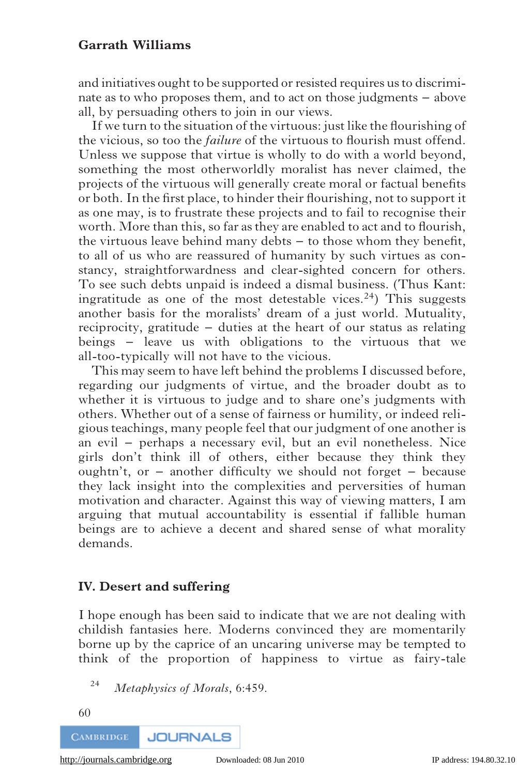and initiatives ought to be supported or resisted requires us to discriminate as to who proposes them, and to act on those judgments – above all, by persuading others to join in our views.

If we turn to the situation of the virtuous: just like the flourishing of the vicious, so too the failure of the virtuous to flourish must offend. Unless we suppose that virtue is wholly to do with a world beyond, something the most otherworldly moralist has never claimed, the projects of the virtuous will generally create moral or factual benefits or both. In the first place, to hinder their flourishing, not to support it as one may, is to frustrate these projects and to fail to recognise their worth. More than this, so far as they are enabled to act and to flourish, the virtuous leave behind many debts – to those whom they benefit, to all of us who are reassured of humanity by such virtues as constancy, straightforwardness and clear-sighted concern for others. To see such debts unpaid is indeed a dismal business. (Thus Kant: ingratitude as one of the most detestable vices.<sup>24</sup>) This suggests another basis for the moralists' dream of a just world. Mutuality, reciprocity, gratitude – duties at the heart of our status as relating beings – leave us with obligations to the virtuous that we all-too-typically will not have to the vicious.

This may seem to have left behind the problems I discussed before, regarding our judgments of virtue, and the broader doubt as to whether it is virtuous to judge and to share one's judgments with others. Whether out of a sense of fairness or humility, or indeed religious teachings, many people feel that our judgment of one another is an evil – perhaps a necessary evil, but an evil nonetheless. Nice girls don't think ill of others, either because they think they oughtn't, or – another difficulty we should not forget – because they lack insight into the complexities and perversities of human motivation and character. Against this way of viewing matters, I am arguing that mutual accountability is essential if fallible human beings are to achieve a decent and shared sense of what morality demands.

#### IV. Desert and suffering

I hope enough has been said to indicate that we are not dealing with childish fantasies here. Moderns convinced they are momentarily borne up by the caprice of an uncaring universe may be tempted to think of the proportion of happiness to virtue as fairy-tale

<sup>24</sup> Metaphysics of Morals, 6:459.



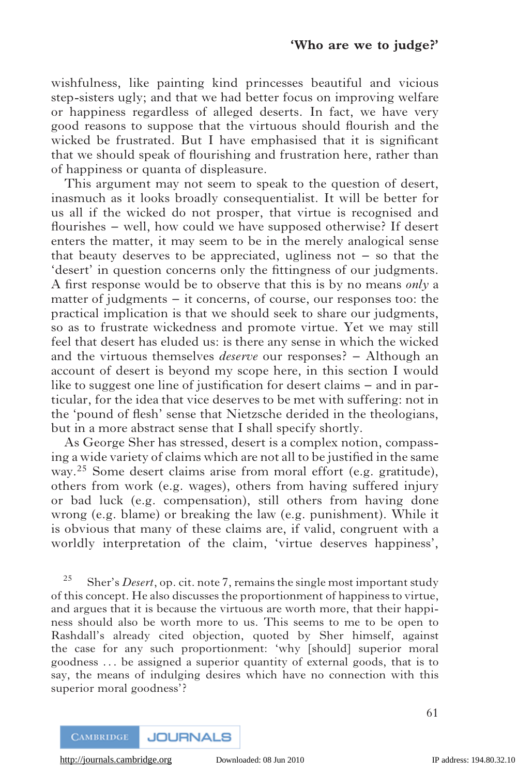wishfulness, like painting kind princesses beautiful and vicious step-sisters ugly; and that we had better focus on improving welfare or happiness regardless of alleged deserts. In fact, we have very good reasons to suppose that the virtuous should flourish and the wicked be frustrated. But I have emphasised that it is significant that we should speak of flourishing and frustration here, rather than of happiness or quanta of displeasure.

This argument may not seem to speak to the question of desert, inasmuch as it looks broadly consequentialist. It will be better for us all if the wicked do not prosper, that virtue is recognised and flourishes – well, how could we have supposed otherwise? If desert enters the matter, it may seem to be in the merely analogical sense that beauty deserves to be appreciated, ugliness not – so that the 'desert' in question concerns only the fittingness of our judgments. A first response would be to observe that this is by no means only a matter of judgments – it concerns, of course, our responses too: the practical implication is that we should seek to share our judgments, so as to frustrate wickedness and promote virtue. Yet we may still feel that desert has eluded us: is there any sense in which the wicked and the virtuous themselves deserve our responses? – Although an account of desert is beyond my scope here, in this section I would like to suggest one line of justification for desert claims – and in particular, for the idea that vice deserves to be met with suffering: not in the 'pound of flesh' sense that Nietzsche derided in the theologians, but in a more abstract sense that I shall specify shortly.

As George Sher has stressed, desert is a complex notion, compassing a wide variety of claims which are not all to be justified in the same way.<sup>25</sup> Some desert claims arise from moral effort (e.g. gratitude), others from work (e.g. wages), others from having suffered injury or bad luck (e.g. compensation), still others from having done wrong (e.g. blame) or breaking the law (e.g. punishment). While it is obvious that many of these claims are, if valid, congruent with a worldly interpretation of the claim, 'virtue deserves happiness',

<sup>25</sup> Sher's *Desert*, op. cit. note 7, remains the single most important study of this concept. He also discusses the proportionment of happiness to virtue, and argues that it is because the virtuous are worth more, that their happiness should also be worth more to us. This seems to me to be open to Rashdall's already cited objection, quoted by Sher himself, against the case for any such proportionment: 'why [should] superior moral goodness ... be assigned a superior quantity of external goods, that is to say, the means of indulging desires which have no connection with this superior moral goodness'?

61

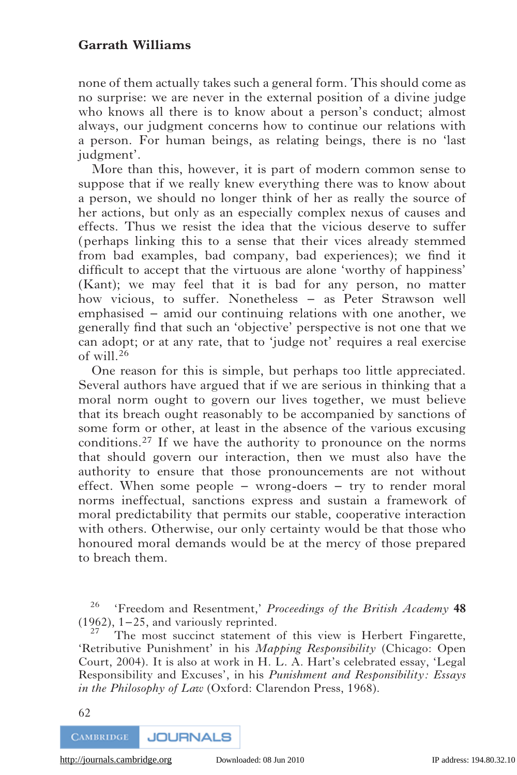none of them actually takes such a general form. This should come as no surprise: we are never in the external position of a divine judge who knows all there is to know about a person's conduct; almost always, our judgment concerns how to continue our relations with a person. For human beings, as relating beings, there is no 'last judgment'.

More than this, however, it is part of modern common sense to suppose that if we really knew everything there was to know about a person, we should no longer think of her as really the source of her actions, but only as an especially complex nexus of causes and effects. Thus we resist the idea that the vicious deserve to suffer (perhaps linking this to a sense that their vices already stemmed from bad examples, bad company, bad experiences); we find it difficult to accept that the virtuous are alone 'worthy of happiness' (Kant); we may feel that it is bad for any person, no matter how vicious, to suffer. Nonetheless – as Peter Strawson well emphasised – amid our continuing relations with one another, we generally find that such an 'objective' perspective is not one that we can adopt; or at any rate, that to 'judge not' requires a real exercise of will. $26$ 

One reason for this is simple, but perhaps too little appreciated. Several authors have argued that if we are serious in thinking that a moral norm ought to govern our lives together, we must believe that its breach ought reasonably to be accompanied by sanctions of some form or other, at least in the absence of the various excusing conditions.<sup>27</sup> If we have the authority to pronounce on the norms that should govern our interaction, then we must also have the authority to ensure that those pronouncements are not without effect. When some people – wrong-doers – try to render moral norms ineffectual, sanctions express and sustain a framework of moral predictability that permits our stable, cooperative interaction with others. Otherwise, our only certainty would be that those who honoured moral demands would be at the mercy of those prepared to breach them.

<sup>26</sup> 'Freedom and Resentment,' Proceedings of the British Academy  $48$  $(1962)$ ,  $1-25$ , and variously reprinted.

The most succinct statement of this view is Herbert Fingarette, 'Retributive Punishment' in his Mapping Responsibility (Chicago: Open Court, 2004). It is also at work in H. L. A. Hart's celebrated essay, 'Legal Responsibility and Excuses', in his Punishment and Responsibility: Essays in the Philosophy of Law (Oxford: Clarendon Press, 1968).

62

**JOURNALS CAMBRIDGE**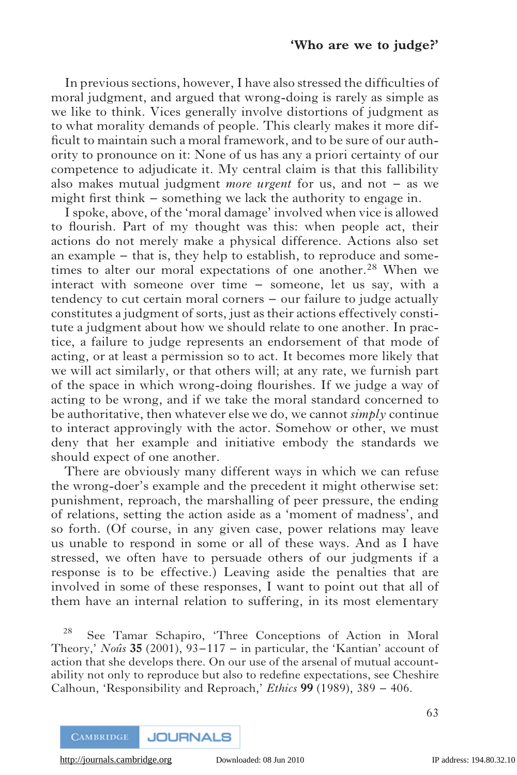In previous sections, however, I have also stressed the difficulties of moral judgment, and argued that wrong-doing is rarely as simple as we like to think. Vices generally involve distortions of judgment as to what morality demands of people. This clearly makes it more difficult to maintain such a moral framework, and to be sure of our authority to pronounce on it: None of us has any a priori certainty of our competence to adjudicate it. My central claim is that this fallibility also makes mutual judgment *more urgent* for us, and not  $-$  as we might first think – something we lack the authority to engage in.

I spoke, above, of the 'moral damage' involved when vice is allowed to flourish. Part of my thought was this: when people act, their actions do not merely make a physical difference. Actions also set an example – that is, they help to establish, to reproduce and sometimes to alter our moral expectations of one another.<sup>28</sup> When we interact with someone over time – someone, let us say, with a tendency to cut certain moral corners – our failure to judge actually constitutes a judgment of sorts, just as their actions effectively constitute a judgment about how we should relate to one another. In practice, a failure to judge represents an endorsement of that mode of acting, or at least a permission so to act. It becomes more likely that we will act similarly, or that others will; at any rate, we furnish part of the space in which wrong-doing flourishes. If we judge a way of acting to be wrong, and if we take the moral standard concerned to be authoritative, then whatever else we do, we cannot *simply* continue to interact approvingly with the actor. Somehow or other, we must deny that her example and initiative embody the standards we should expect of one another.

There are obviously many different ways in which we can refuse the wrong-doer's example and the precedent it might otherwise set: punishment, reproach, the marshalling of peer pressure, the ending of relations, setting the action aside as a 'moment of madness', and so forth. (Of course, in any given case, power relations may leave us unable to respond in some or all of these ways. And as I have stressed, we often have to persuade others of our judgments if a response is to be effective.) Leaving aside the penalties that are involved in some of these responses, I want to point out that all of them have an internal relation to suffering, in its most elementary

<sup>28</sup> See Tamar Schapiro, 'Three Conceptions of Action in Moral Theory,' Noûs 35 (2001), 93–117 – in particular, the 'Kantian' account of action that she develops there. On our use of the arsenal of mutual accountability not only to reproduce but also to redefine expectations, see Cheshire Calhoun, 'Responsibility and Reproach,' Ethics 99 (1989), 389 – 406.



63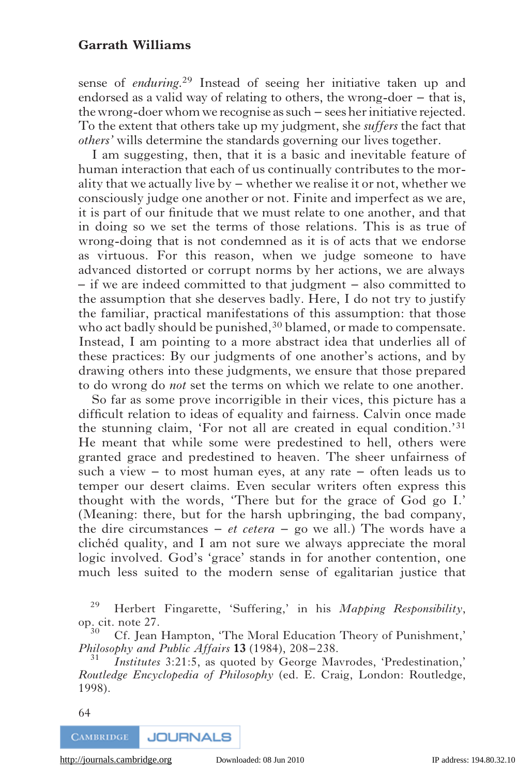sense of enduring.<sup>29</sup> Instead of seeing her initiative taken up and endorsed as a valid way of relating to others, the wrong-doer – that is, the wrong-doer whom we recognise as such – sees herinitiative rejected. To the extent that others take up my judgment, she *suffers* the fact that others' wills determine the standards governing our lives together.

I am suggesting, then, that it is a basic and inevitable feature of human interaction that each of us continually contributes to the morality that we actually live by – whether we realise it or not, whether we consciously judge one another or not. Finite and imperfect as we are, it is part of our finitude that we must relate to one another, and that in doing so we set the terms of those relations. This is as true of wrong-doing that is not condemned as it is of acts that we endorse as virtuous. For this reason, when we judge someone to have advanced distorted or corrupt norms by her actions, we are always – if we are indeed committed to that judgment – also committed to the assumption that she deserves badly. Here, I do not try to justify the familiar, practical manifestations of this assumption: that those who act badly should be punished,  $30$  blamed, or made to compensate. Instead, I am pointing to a more abstract idea that underlies all of these practices: By our judgments of one another's actions, and by drawing others into these judgments, we ensure that those prepared to do wrong do not set the terms on which we relate to one another.

So far as some prove incorrigible in their vices, this picture has a difficult relation to ideas of equality and fairness. Calvin once made the stunning claim, 'For not all are created in equal condition.'<sup>31</sup> He meant that while some were predestined to hell, others were granted grace and predestined to heaven. The sheer unfairness of such a view – to most human eyes, at any rate – often leads us to temper our desert claims. Even secular writers often express this thought with the words, 'There but for the grace of God go I.' (Meaning: there, but for the harsh upbringing, the bad company, the dire circumstances – *et cetera* – go we all.) The words have a cliche´d quality, and I am not sure we always appreciate the moral logic involved. God's 'grace' stands in for another contention, one much less suited to the modern sense of egalitarian justice that

<sup>29</sup> Herbert Fingarette, 'Suffering,' in his Mapping Responsibility, op. cit. note 27.

Cf. Jean Hampton, 'The Moral Education Theory of Punishment,' Philosophy and Public Affairs  $13$  (1984), 208-238.

Institutes 3:21:5, as quoted by George Mavrodes, 'Predestination,' Routledge Encyclopedia of Philosophy (ed. E. Craig, London: Routledge, 1998).

64

**JOURNALS CAMBRIDGE**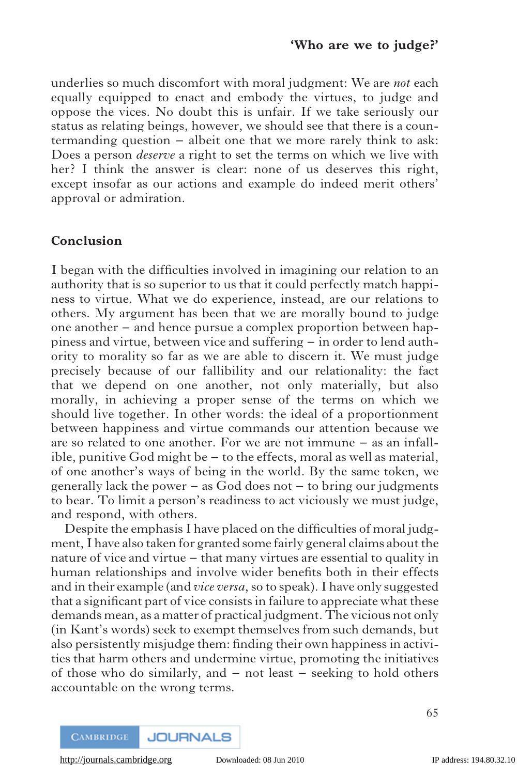underlies so much discomfort with moral judgment: We are not each equally equipped to enact and embody the virtues, to judge and oppose the vices. No doubt this is unfair. If we take seriously our status as relating beings, however, we should see that there is a countermanding question – albeit one that we more rarely think to ask: Does a person deserve a right to set the terms on which we live with her? I think the answer is clear: none of us deserves this right, except insofar as our actions and example do indeed merit others' approval or admiration.

# Conclusion

I began with the difficulties involved in imagining our relation to an authority that is so superior to us that it could perfectly match happiness to virtue. What we do experience, instead, are our relations to others. My argument has been that we are morally bound to judge one another – and hence pursue a complex proportion between happiness and virtue, between vice and suffering – in order to lend authority to morality so far as we are able to discern it. We must judge precisely because of our fallibility and our relationality: the fact that we depend on one another, not only materially, but also morally, in achieving a proper sense of the terms on which we should live together. In other words: the ideal of a proportionment between happiness and virtue commands our attention because we are so related to one another. For we are not immune – as an infallible, punitive God might be – to the effects, moral as well as material, of one another's ways of being in the world. By the same token, we generally lack the power – as God does not – to bring our judgments to bear. To limit a person's readiness to act viciously we must judge, and respond, with others.

Despite the emphasis I have placed on the difficulties of moral judgment, I have also taken for granted some fairly general claims about the nature of vice and virtue – that many virtues are essential to quality in human relationships and involve wider benefits both in their effects and in their example (and vice versa, so to speak). I have only suggested that a significant part of vice consists in failure to appreciate what these demands mean, as a matter of practical judgment. The vicious not only (in Kant's words) seek to exempt themselves from such demands, but also persistently misjudge them: finding their own happiness in activities that harm others and undermine virtue, promoting the initiatives of those who do similarly, and – not least – seeking to hold others accountable on the wrong terms.

65